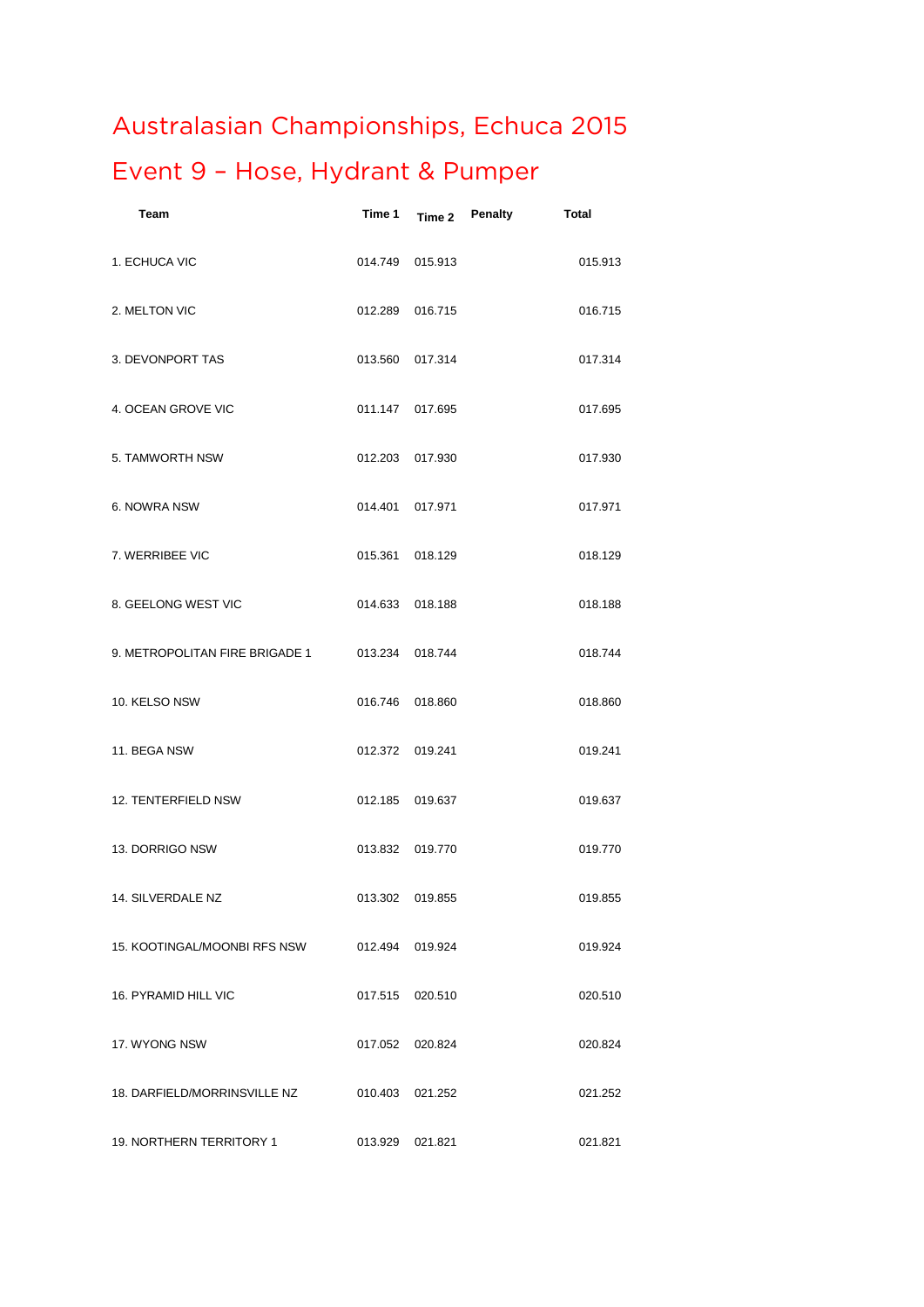## **Australasian Championships, Echuca 2015**

## **Event 9 – Hose, Hydrant & Pumper**

| <b>Team</b>                                  | Time 1          |                 | Time 2 Penalty | <b>Total</b> |
|----------------------------------------------|-----------------|-----------------|----------------|--------------|
| 1. ECHUCA VIC                                |                 | 014.749 015.913 |                | 015.913      |
| 2. MELTON VIC                                | 012.289 016.715 |                 |                | 016.715      |
| 3. DEVONPORT TAS                             | 013.560 017.314 |                 |                | 017.314      |
| 4. OCEAN GROVE VIC                           |                 | 011.147 017.695 |                | 017.695      |
| 5. TAMWORTH NSW                              | 012.203 017.930 |                 |                | 017.930      |
| 6. NOWRA NSW                                 | 014.401 017.971 |                 |                | 017.971      |
| 7. WERRIBEE VIC                              | 015.361         | 018.129         |                | 018.129      |
| 8. GEELONG WEST VIC                          | 014.633 018.188 |                 |                | 018.188      |
| 9. METROPOLITAN FIRE BRIGADE 1               | 013.234 018.744 |                 |                | 018.744      |
| 10. KELSO NSW                                | 016.746         | 018.860         |                | 018.860      |
| 11. BEGA NSW                                 | 012.372 019.241 |                 |                | 019.241      |
| 12. TENTERFIELD NSW                          | 012.185         | 019.637         |                | 019.637      |
| 13. DORRIGO NSW                              |                 | 013.832 019.770 |                | 019.770      |
| 14. SILVERDALE NZ                            | 013.302 019.855 |                 |                | 019.855      |
| 15. KOOTINGAL/MOONBI RFS NSW 012.494 019.924 |                 |                 |                | 019.924      |
| 16. PYRAMID HILL VIC                         |                 | 017.515 020.510 |                | 020.510      |
| 17. WYONG NSW                                |                 | 017.052 020.824 |                | 020.824      |
| 18. DARFIELD/MORRINSVILLE NZ                 | 010.403 021.252 |                 |                | 021.252      |
| 19. NORTHERN TERRITORY 1                     |                 | 013.929 021.821 |                | 021.821      |